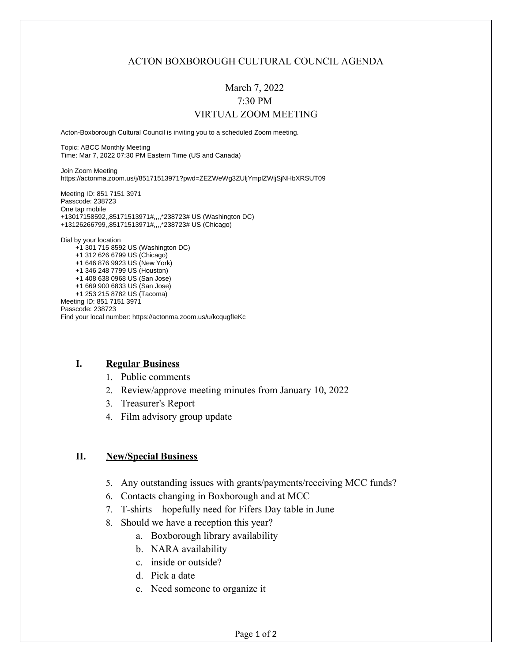### ACTON BOXBOROUGH CULTURAL COUNCIL AGENDA

# March 7, 2022 7:30 PM VIRTUAL ZOOM MEETING

Acton-Boxborough Cultural Council is inviting you to a scheduled Zoom meeting.

Topic: ABCC Monthly Meeting Time: Mar 7, 2022 07:30 PM Eastern Time (US and Canada)

Join Zoom Meeting https://actonma.zoom.us/j/85171513971?pwd=ZEZWeWg3ZUljYmplZWljSjNHbXRSUT09

Meeting ID: 851 7151 3971 Passcode: 238723 One tap mobile +13017158592,,85171513971#,,,,\*238723# US (Washington DC) +13126266799,,85171513971#,,,,\*238723# US (Chicago) Dial by your location +1 301 715 8592 US (Washington DC) +1 312 626 6799 US (Chicago) +1 646 876 9923 US (New York)

 +1 346 248 7799 US (Houston) +1 408 638 0968 US (San Jose) +1 669 900 6833 US (San Jose) +1 253 215 8782 US (Tacoma) Meeting ID: 851 7151 3971 Passcode: 238723 Find your local number: https://actonma.zoom.us/u/kcqugfIeKc

#### **I. Regular Business**

- 1. Public comments
- 2. Review/approve meeting minutes from January 10, 2022
- 3. Treasurer's Report
- 4. Film advisory group update

#### **II. New/Special Business**

- 5. Any outstanding issues with grants/payments/receiving MCC funds?
- 6. Contacts changing in Boxborough and at MCC
- 7. T-shirts hopefully need for Fifers Day table in June
- 8. Should we have a reception this year?
	- a. Boxborough library availability
	- b. NARA availability
	- c. inside or outside?
	- d. Pick a date
	- e. Need someone to organize it